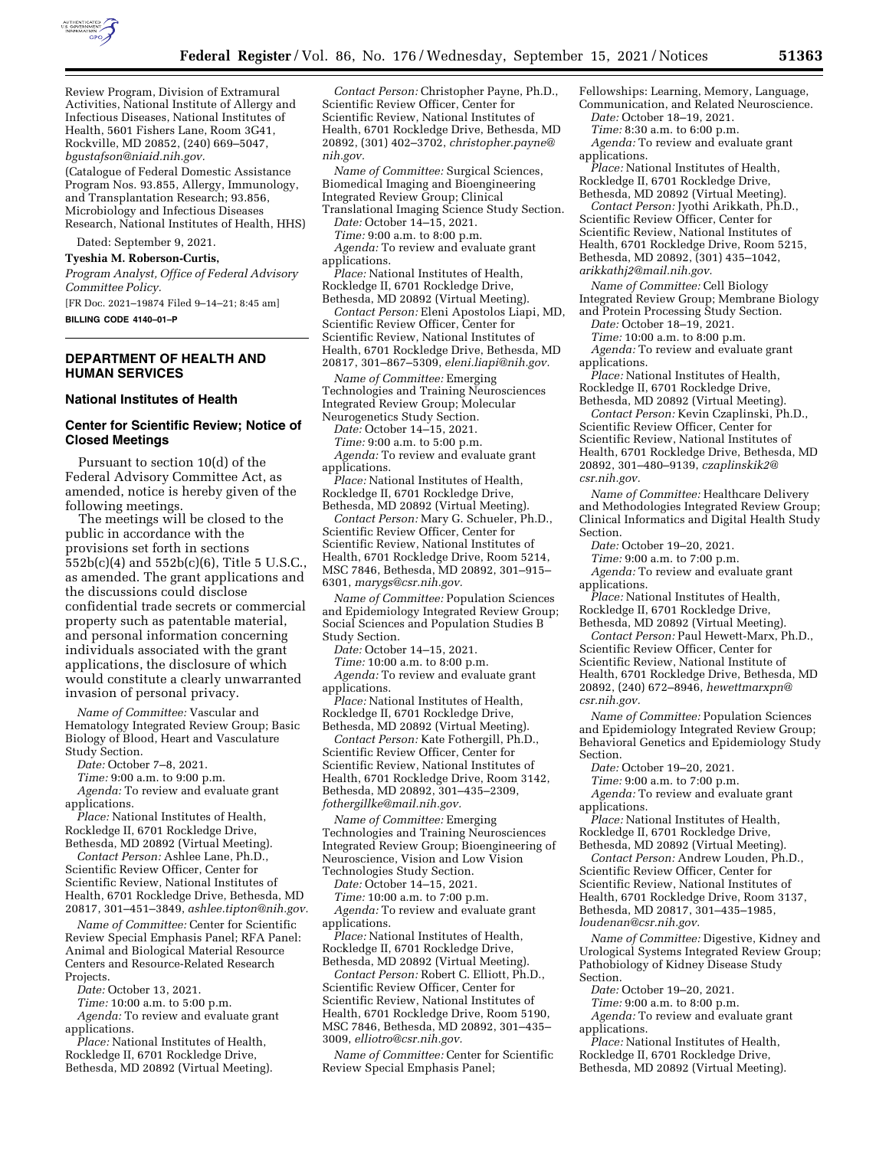

Review Program, Division of Extramural Activities, National Institute of Allergy and Infectious Diseases, National Institutes of Health, 5601 Fishers Lane, Room 3G41, Rockville, MD 20852, (240) 669–5047, *[bgustafson@niaid.nih.gov.](mailto:bgustafson@niaid.nih.gov)* 

(Catalogue of Federal Domestic Assistance Program Nos. 93.855, Allergy, Immunology, and Transplantation Research; 93.856, Microbiology and Infectious Diseases Research, National Institutes of Health, HHS)

Dated: September 9, 2021.

**Tyeshia M. Roberson-Curtis,** 

*Program Analyst, Office of Federal Advisory Committee Policy.* 

[FR Doc. 2021–19874 Filed 9–14–21; 8:45 am]

**BILLING CODE 4140–01–P** 

## **DEPARTMENT OF HEALTH AND HUMAN SERVICES**

#### **National Institutes of Health**

### **Center for Scientific Review; Notice of Closed Meetings**

Pursuant to section 10(d) of the Federal Advisory Committee Act, as amended, notice is hereby given of the following meetings.

The meetings will be closed to the public in accordance with the provisions set forth in sections 552b(c)(4) and 552b(c)(6), Title 5 U.S.C., as amended. The grant applications and the discussions could disclose confidential trade secrets or commercial property such as patentable material, and personal information concerning individuals associated with the grant applications, the disclosure of which would constitute a clearly unwarranted invasion of personal privacy.

*Name of Committee:* Vascular and Hematology Integrated Review Group; Basic Biology of Blood, Heart and Vasculature Study Section.

*Date:* October 7–8, 2021.

*Time:* 9:00 a.m. to 9:00 p.m.

*Agenda:* To review and evaluate grant applications.

*Place:* National Institutes of Health, Rockledge II, 6701 Rockledge Drive, Bethesda, MD 20892 (Virtual Meeting).

*Contact Person:* Ashlee Lane, Ph.D., Scientific Review Officer, Center for Scientific Review, National Institutes of Health, 6701 Rockledge Drive, Bethesda, MD 20817, 301–451–3849, *[ashlee.tipton@nih.gov.](mailto:ashlee.tipton@nih.gov)* 

*Name of Committee:* Center for Scientific Review Special Emphasis Panel; RFA Panel: Animal and Biological Material Resource Centers and Resource-Related Research Projects.

*Date:* October 13, 2021.

*Time:* 10:00 a.m. to 5:00 p.m. *Agenda:* To review and evaluate grant applications.

*Place:* National Institutes of Health, Rockledge II, 6701 Rockledge Drive, Bethesda, MD 20892 (Virtual Meeting).

*Contact Person:* Christopher Payne, Ph.D., Scientific Review Officer, Center for Scientific Review, National Institutes of Health, 6701 Rockledge Drive, Bethesda, MD 20892, (301) 402–3702, *[christopher.payne@](mailto:christopher.payne@nih.gov) [nih.gov.](mailto:christopher.payne@nih.gov)* 

*Name of Committee:* Surgical Sciences, Biomedical Imaging and Bioengineering Integrated Review Group; Clinical

Translational Imaging Science Study Section. *Date:* October 14–15, 2021. *Time:* 9:00 a.m. to 8:00 p.m.

*Agenda:* To review and evaluate grant applications.

*Place:* National Institutes of Health, Rockledge II, 6701 Rockledge Drive, Bethesda, MD 20892 (Virtual Meeting).

*Contact Person:* Eleni Apostolos Liapi, MD, Scientific Review Officer, Center for Scientific Review, National Institutes of Health, 6701 Rockledge Drive, Bethesda, MD 20817, 301–867–5309, *[eleni.liapi@nih.gov.](mailto:eleni.liapi@nih.gov)* 

*Name of Committee:* Emerging Technologies and Training Neurosciences Integrated Review Group; Molecular Neurogenetics Study Section.

*Date:* October 14–15, 2021.

*Time:* 9:00 a.m. to 5:00 p.m.

Agenda: To review and evaluate grant applications.

*Place:* National Institutes of Health, Rockledge II, 6701 Rockledge Drive, Bethesda, MD 20892 (Virtual Meeting).

*Contact Person:* Mary G. Schueler, Ph.D., Scientific Review Officer, Center for Scientific Review, National Institutes of Health, 6701 Rockledge Drive, Room 5214, MSC 7846, Bethesda, MD 20892, 301–915– 6301, *[marygs@csr.nih.gov.](mailto:marygs@csr.nih.gov)* 

*Name of Committee:* Population Sciences and Epidemiology Integrated Review Group; Social Sciences and Population Studies B Study Section.

*Date:* October 14–15, 2021.

*Time:* 10:00 a.m. to 8:00 p.m.

*Agenda:* To review and evaluate grant applications.

*Place:* National Institutes of Health, Rockledge II, 6701 Rockledge Drive, Bethesda, MD 20892 (Virtual Meeting).

*Contact Person:* Kate Fothergill, Ph.D., Scientific Review Officer, Center for Scientific Review, National Institutes of Health, 6701 Rockledge Drive, Room 3142, Bethesda, MD 20892, 301–435–2309, *[fothergillke@mail.nih.gov.](mailto:fothergillke@mail.nih.gov)* 

*Name of Committee:* Emerging Technologies and Training Neurosciences Integrated Review Group; Bioengineering of Neuroscience, Vision and Low Vision Technologies Study Section.

*Date:* October 14–15, 2021.

*Time:* 10:00 a.m. to 7:00 p.m.

*Agenda:* To review and evaluate grant applications.

*Place:* National Institutes of Health, Rockledge II, 6701 Rockledge Drive, Bethesda, MD 20892 (Virtual Meeting).

*Contact Person:* Robert C. Elliott, Ph.D., Scientific Review Officer, Center for Scientific Review, National Institutes of Health, 6701 Rockledge Drive, Room 5190, MSC 7846, Bethesda, MD 20892, 301–435– 3009, *[elliotro@csr.nih.gov.](mailto:elliotro@csr.nih.gov)* 

*Name of Committee:* Center for Scientific Review Special Emphasis Panel;

Fellowships: Learning, Memory, Language, Communication, and Related Neuroscience.

*Date:* October 18–19, 2021. *Time:* 8:30 a.m. to 6:00 p.m.

Agenda: To review and evaluate grant applications.

*Place:* National Institutes of Health, Rockledge II, 6701 Rockledge Drive,

Bethesda, MD 20892 (Virtual Meeting). *Contact Person:* Jyothi Arikkath, Ph.D., Scientific Review Officer, Center for Scientific Review, National Institutes of Health, 6701 Rockledge Drive, Room 5215, Bethesda, MD 20892, (301) 435–1042, *[arikkathj2@mail.nih.gov.](mailto:arikkathj2@mail.nih.gov)* 

*Name of Committee:* Cell Biology Integrated Review Group; Membrane Biology and Protein Processing Study Section.

*Date:* October 18–19, 2021.

*Time:* 10:00 a.m. to 8:00 p.m.

*Agenda:* To review and evaluate grant applications.

*Place:* National Institutes of Health, Rockledge II, 6701 Rockledge Drive, Bethesda, MD 20892 (Virtual Meeting).

*Contact Person:* Kevin Czaplinski, Ph.D., Scientific Review Officer, Center for Scientific Review, National Institutes of Health, 6701 Rockledge Drive, Bethesda, MD 20892, 301–480–9139, *[czaplinskik2@](mailto:czaplinskik2@csr.nih.gov) [csr.nih.gov.](mailto:czaplinskik2@csr.nih.gov)* 

*Name of Committee:* Healthcare Delivery and Methodologies Integrated Review Group; Clinical Informatics and Digital Health Study Section.

*Date:* October 19–20, 2021.

*Time:* 9:00 a.m. to 7:00 p.m.

Agenda: To review and evaluate grant applications.

*Place:* National Institutes of Health, Rockledge II, 6701 Rockledge Drive, Bethesda, MD 20892 (Virtual Meeting).

*Contact Person:* Paul Hewett-Marx, Ph.D., Scientific Review Officer, Center for Scientific Review, National Institute of Health, 6701 Rockledge Drive, Bethesda, MD 20892, (240) 672–8946, *[hewettmarxpn@](mailto:hewettmarxpn@csr.nih.gov) [csr.nih.gov.](mailto:hewettmarxpn@csr.nih.gov)* 

*Name of Committee:* Population Sciences and Epidemiology Integrated Review Group; Behavioral Genetics and Epidemiology Study Section.

*Date:* October 19–20, 2021.

*Time:* 9:00 a.m. to 7:00 p.m.

*Agenda:* To review and evaluate grant applications.

*Place:* National Institutes of Health, Rockledge II, 6701 Rockledge Drive, Bethesda, MD 20892 (Virtual Meeting).

*Contact Person:* Andrew Louden, Ph.D., Scientific Review Officer, Center for Scientific Review, National Institutes of Health, 6701 Rockledge Drive, Room 3137, Bethesda, MD 20817, 301–435–1985, *[loudenan@csr.nih.gov.](mailto:loudenan@csr.nih.gov)* 

*Name of Committee:* Digestive, Kidney and Urological Systems Integrated Review Group; Pathobiology of Kidney Disease Study Section.

*Date:* October 19–20, 2021.

*Time:* 9:00 a.m. to 8:00 p.m.

Agenda: To review and evaluate grant applications.

*Place:* National Institutes of Health, Rockledge II, 6701 Rockledge Drive, Bethesda, MD 20892 (Virtual Meeting).